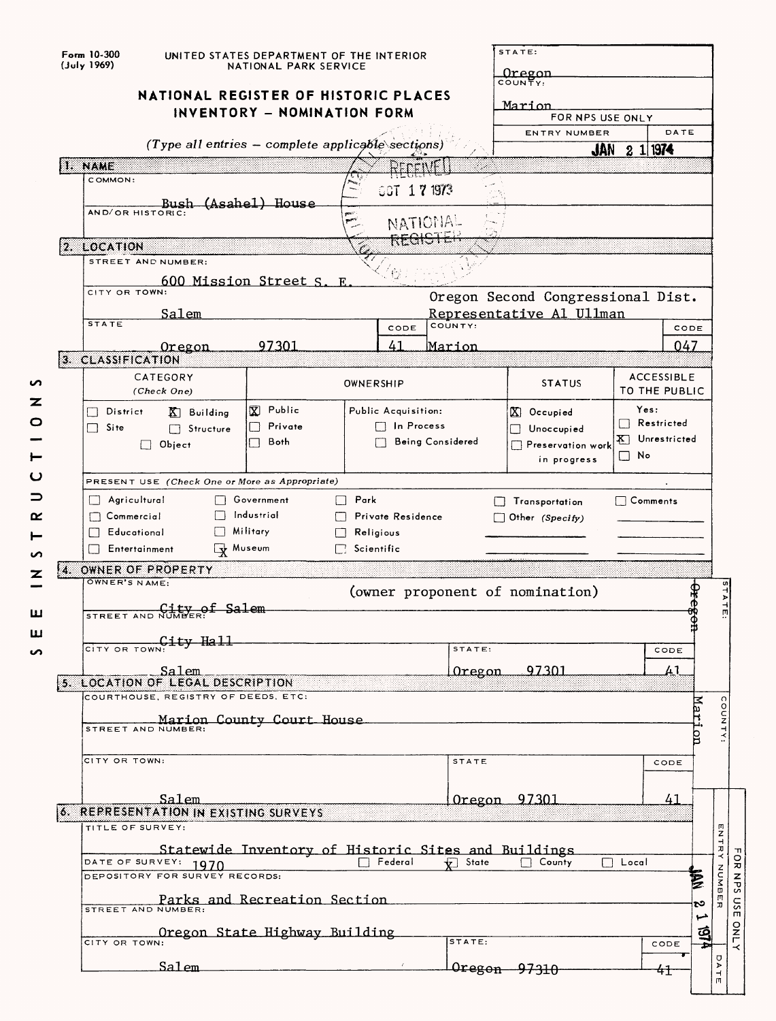| Oregon<br>COUNTY:<br>NATIONAL REGISTER OF HISTORIC PLACES<br>Marion<br>INVENTORY - NOMINATION FORM<br>FOR NPS USE ONLY<br>DATE<br><b>ENTRY NUMBER</b><br>(Type all entries - complete applicable sections)<br>$2 \frac{11974}{1}$<br><b>JAN</b><br>1. NAME<br>⊬rrcn#<br>COMMON:<br>GGT 171973<br>Bush (Asahel) House<br>NATIONAL<br>ਕਲਰ<br>2. LOCATION<br>STREET AND NUMBER:<br>600 Mission Street S. E.<br>CITY OR TOWN:<br>Oregon Second Congressional Dist.<br>Salem<br>Representative Al Ullman<br><b>STATE</b><br>COUNTY:<br>CODE<br>CODE<br>97301<br>41<br>047<br>Marion<br>Oregon<br>3. CLASSIFICATION<br>CATEGORY<br><b>ACCESSIBLE</b><br>OWNERSHIP<br><b>STATUS</b><br>TO THE PUBLIC<br>(Check One)<br>又 Public<br>Yes:<br>Public Acquisition:<br>District<br>$X$ Occupied<br>$K$ Building<br>Restricted<br>Private<br>$\Box$ In Process<br>  1<br>□ Site<br>Structure<br>$\Box$ Unoccupied<br>Unrestricted<br>¥Π.<br><b>Being Considered</b><br>Both<br>$\Box$ Object<br>Preservation work<br>$\Box$ No<br>in progress<br>PRESENT USE (Check One or More as Appropriate)<br>$\Box$ Park<br>Agricultural<br>Government<br>Transportation<br>$\sqcap$ Comments<br>$\Box$<br>$\Box$<br>Industrial<br>$\Box$ Commercial<br>Private Residence<br>$\Box$ Other (Specify)<br>Military<br>Educational<br>Religious<br>Wuseum<br>$\Box$ Scientific<br>Entertainment<br>4. OWNER OF PROPERTY<br>OWNER'S NAME:<br>(owner proponent of nomination)<br>Þ<br>STREET AND NUMBER: Salem<br>т<br>CITY OR TOWN: 1ty Hali<br>STATE:<br>CODE<br>97301<br>41<br>Salem<br>Oregon<br>5. LOCATION OF LEGAL DESCRIPTION<br>COURTHOUSE, REGISTRY OF DEEDS, ETC:<br>xex<br>COUNTY<br>Marion County Court House<br>STREET AND NUMBER:<br>b<br>CITY OR TOWN:<br><b>STATE</b><br>CODE<br>Salem<br>97301<br>41<br>Oregon<br>6. REPRESENTATION IN EXISTING SURVEYS<br>TITLE OF SURVEY:<br>ロスコカス<br>Statewide Inventory of Historic Sites and Buildings<br>Federal<br>State<br>County<br>Local<br>DATE OF SURVEY: 1970<br>NUMBE<br>DEPOSITORY FOR SURVEY RECORDS:<br><b>Parks and Recreation Section</b><br>ು<br>ᄁ<br>نسبا<br>ថ្ម<br>Oregon State Highway Building<br>STATE:<br>CITY OR TOWN:<br>CODE<br>σ<br>Salem<br>$A$ TE<br>Oregon<br><del>97310</del><br>41 | Form 10-300<br>(July 1969) | UNITED STATES DEPARTMENT OF THE INTERIOR<br>NATIONAL PARK SERVICE |  |  |  |  |  | STATE: |  |  |  |  |
|--------------------------------------------------------------------------------------------------------------------------------------------------------------------------------------------------------------------------------------------------------------------------------------------------------------------------------------------------------------------------------------------------------------------------------------------------------------------------------------------------------------------------------------------------------------------------------------------------------------------------------------------------------------------------------------------------------------------------------------------------------------------------------------------------------------------------------------------------------------------------------------------------------------------------------------------------------------------------------------------------------------------------------------------------------------------------------------------------------------------------------------------------------------------------------------------------------------------------------------------------------------------------------------------------------------------------------------------------------------------------------------------------------------------------------------------------------------------------------------------------------------------------------------------------------------------------------------------------------------------------------------------------------------------------------------------------------------------------------------------------------------------------------------------------------------------------------------------------------------------------------------------------------------------------------------------------------------------------------------------------------------------------------------------------------------------------------------------------------------------------------------------------------------------------------------------------------------------------------------------|----------------------------|-------------------------------------------------------------------|--|--|--|--|--|--------|--|--|--|--|
|                                                                                                                                                                                                                                                                                                                                                                                                                                                                                                                                                                                                                                                                                                                                                                                                                                                                                                                                                                                                                                                                                                                                                                                                                                                                                                                                                                                                                                                                                                                                                                                                                                                                                                                                                                                                                                                                                                                                                                                                                                                                                                                                                                                                                                            |                            |                                                                   |  |  |  |  |  |        |  |  |  |  |
|                                                                                                                                                                                                                                                                                                                                                                                                                                                                                                                                                                                                                                                                                                                                                                                                                                                                                                                                                                                                                                                                                                                                                                                                                                                                                                                                                                                                                                                                                                                                                                                                                                                                                                                                                                                                                                                                                                                                                                                                                                                                                                                                                                                                                                            |                            |                                                                   |  |  |  |  |  |        |  |  |  |  |
|                                                                                                                                                                                                                                                                                                                                                                                                                                                                                                                                                                                                                                                                                                                                                                                                                                                                                                                                                                                                                                                                                                                                                                                                                                                                                                                                                                                                                                                                                                                                                                                                                                                                                                                                                                                                                                                                                                                                                                                                                                                                                                                                                                                                                                            |                            |                                                                   |  |  |  |  |  |        |  |  |  |  |
|                                                                                                                                                                                                                                                                                                                                                                                                                                                                                                                                                                                                                                                                                                                                                                                                                                                                                                                                                                                                                                                                                                                                                                                                                                                                                                                                                                                                                                                                                                                                                                                                                                                                                                                                                                                                                                                                                                                                                                                                                                                                                                                                                                                                                                            |                            |                                                                   |  |  |  |  |  |        |  |  |  |  |
|                                                                                                                                                                                                                                                                                                                                                                                                                                                                                                                                                                                                                                                                                                                                                                                                                                                                                                                                                                                                                                                                                                                                                                                                                                                                                                                                                                                                                                                                                                                                                                                                                                                                                                                                                                                                                                                                                                                                                                                                                                                                                                                                                                                                                                            |                            |                                                                   |  |  |  |  |  |        |  |  |  |  |
|                                                                                                                                                                                                                                                                                                                                                                                                                                                                                                                                                                                                                                                                                                                                                                                                                                                                                                                                                                                                                                                                                                                                                                                                                                                                                                                                                                                                                                                                                                                                                                                                                                                                                                                                                                                                                                                                                                                                                                                                                                                                                                                                                                                                                                            |                            |                                                                   |  |  |  |  |  |        |  |  |  |  |
|                                                                                                                                                                                                                                                                                                                                                                                                                                                                                                                                                                                                                                                                                                                                                                                                                                                                                                                                                                                                                                                                                                                                                                                                                                                                                                                                                                                                                                                                                                                                                                                                                                                                                                                                                                                                                                                                                                                                                                                                                                                                                                                                                                                                                                            |                            |                                                                   |  |  |  |  |  |        |  |  |  |  |
|                                                                                                                                                                                                                                                                                                                                                                                                                                                                                                                                                                                                                                                                                                                                                                                                                                                                                                                                                                                                                                                                                                                                                                                                                                                                                                                                                                                                                                                                                                                                                                                                                                                                                                                                                                                                                                                                                                                                                                                                                                                                                                                                                                                                                                            |                            |                                                                   |  |  |  |  |  |        |  |  |  |  |
|                                                                                                                                                                                                                                                                                                                                                                                                                                                                                                                                                                                                                                                                                                                                                                                                                                                                                                                                                                                                                                                                                                                                                                                                                                                                                                                                                                                                                                                                                                                                                                                                                                                                                                                                                                                                                                                                                                                                                                                                                                                                                                                                                                                                                                            |                            |                                                                   |  |  |  |  |  |        |  |  |  |  |
|                                                                                                                                                                                                                                                                                                                                                                                                                                                                                                                                                                                                                                                                                                                                                                                                                                                                                                                                                                                                                                                                                                                                                                                                                                                                                                                                                                                                                                                                                                                                                                                                                                                                                                                                                                                                                                                                                                                                                                                                                                                                                                                                                                                                                                            |                            |                                                                   |  |  |  |  |  |        |  |  |  |  |
|                                                                                                                                                                                                                                                                                                                                                                                                                                                                                                                                                                                                                                                                                                                                                                                                                                                                                                                                                                                                                                                                                                                                                                                                                                                                                                                                                                                                                                                                                                                                                                                                                                                                                                                                                                                                                                                                                                                                                                                                                                                                                                                                                                                                                                            |                            |                                                                   |  |  |  |  |  |        |  |  |  |  |
|                                                                                                                                                                                                                                                                                                                                                                                                                                                                                                                                                                                                                                                                                                                                                                                                                                                                                                                                                                                                                                                                                                                                                                                                                                                                                                                                                                                                                                                                                                                                                                                                                                                                                                                                                                                                                                                                                                                                                                                                                                                                                                                                                                                                                                            |                            |                                                                   |  |  |  |  |  |        |  |  |  |  |
|                                                                                                                                                                                                                                                                                                                                                                                                                                                                                                                                                                                                                                                                                                                                                                                                                                                                                                                                                                                                                                                                                                                                                                                                                                                                                                                                                                                                                                                                                                                                                                                                                                                                                                                                                                                                                                                                                                                                                                                                                                                                                                                                                                                                                                            |                            |                                                                   |  |  |  |  |  |        |  |  |  |  |
|                                                                                                                                                                                                                                                                                                                                                                                                                                                                                                                                                                                                                                                                                                                                                                                                                                                                                                                                                                                                                                                                                                                                                                                                                                                                                                                                                                                                                                                                                                                                                                                                                                                                                                                                                                                                                                                                                                                                                                                                                                                                                                                                                                                                                                            |                            |                                                                   |  |  |  |  |  |        |  |  |  |  |
|                                                                                                                                                                                                                                                                                                                                                                                                                                                                                                                                                                                                                                                                                                                                                                                                                                                                                                                                                                                                                                                                                                                                                                                                                                                                                                                                                                                                                                                                                                                                                                                                                                                                                                                                                                                                                                                                                                                                                                                                                                                                                                                                                                                                                                            |                            |                                                                   |  |  |  |  |  |        |  |  |  |  |
|                                                                                                                                                                                                                                                                                                                                                                                                                                                                                                                                                                                                                                                                                                                                                                                                                                                                                                                                                                                                                                                                                                                                                                                                                                                                                                                                                                                                                                                                                                                                                                                                                                                                                                                                                                                                                                                                                                                                                                                                                                                                                                                                                                                                                                            |                            |                                                                   |  |  |  |  |  |        |  |  |  |  |
|                                                                                                                                                                                                                                                                                                                                                                                                                                                                                                                                                                                                                                                                                                                                                                                                                                                                                                                                                                                                                                                                                                                                                                                                                                                                                                                                                                                                                                                                                                                                                                                                                                                                                                                                                                                                                                                                                                                                                                                                                                                                                                                                                                                                                                            |                            |                                                                   |  |  |  |  |  |        |  |  |  |  |
|                                                                                                                                                                                                                                                                                                                                                                                                                                                                                                                                                                                                                                                                                                                                                                                                                                                                                                                                                                                                                                                                                                                                                                                                                                                                                                                                                                                                                                                                                                                                                                                                                                                                                                                                                                                                                                                                                                                                                                                                                                                                                                                                                                                                                                            |                            |                                                                   |  |  |  |  |  |        |  |  |  |  |
|                                                                                                                                                                                                                                                                                                                                                                                                                                                                                                                                                                                                                                                                                                                                                                                                                                                                                                                                                                                                                                                                                                                                                                                                                                                                                                                                                                                                                                                                                                                                                                                                                                                                                                                                                                                                                                                                                                                                                                                                                                                                                                                                                                                                                                            |                            |                                                                   |  |  |  |  |  |        |  |  |  |  |
|                                                                                                                                                                                                                                                                                                                                                                                                                                                                                                                                                                                                                                                                                                                                                                                                                                                                                                                                                                                                                                                                                                                                                                                                                                                                                                                                                                                                                                                                                                                                                                                                                                                                                                                                                                                                                                                                                                                                                                                                                                                                                                                                                                                                                                            |                            |                                                                   |  |  |  |  |  |        |  |  |  |  |
|                                                                                                                                                                                                                                                                                                                                                                                                                                                                                                                                                                                                                                                                                                                                                                                                                                                                                                                                                                                                                                                                                                                                                                                                                                                                                                                                                                                                                                                                                                                                                                                                                                                                                                                                                                                                                                                                                                                                                                                                                                                                                                                                                                                                                                            |                            |                                                                   |  |  |  |  |  |        |  |  |  |  |
|                                                                                                                                                                                                                                                                                                                                                                                                                                                                                                                                                                                                                                                                                                                                                                                                                                                                                                                                                                                                                                                                                                                                                                                                                                                                                                                                                                                                                                                                                                                                                                                                                                                                                                                                                                                                                                                                                                                                                                                                                                                                                                                                                                                                                                            |                            |                                                                   |  |  |  |  |  |        |  |  |  |  |
|                                                                                                                                                                                                                                                                                                                                                                                                                                                                                                                                                                                                                                                                                                                                                                                                                                                                                                                                                                                                                                                                                                                                                                                                                                                                                                                                                                                                                                                                                                                                                                                                                                                                                                                                                                                                                                                                                                                                                                                                                                                                                                                                                                                                                                            |                            |                                                                   |  |  |  |  |  |        |  |  |  |  |
|                                                                                                                                                                                                                                                                                                                                                                                                                                                                                                                                                                                                                                                                                                                                                                                                                                                                                                                                                                                                                                                                                                                                                                                                                                                                                                                                                                                                                                                                                                                                                                                                                                                                                                                                                                                                                                                                                                                                                                                                                                                                                                                                                                                                                                            |                            |                                                                   |  |  |  |  |  |        |  |  |  |  |
|                                                                                                                                                                                                                                                                                                                                                                                                                                                                                                                                                                                                                                                                                                                                                                                                                                                                                                                                                                                                                                                                                                                                                                                                                                                                                                                                                                                                                                                                                                                                                                                                                                                                                                                                                                                                                                                                                                                                                                                                                                                                                                                                                                                                                                            |                            |                                                                   |  |  |  |  |  |        |  |  |  |  |
|                                                                                                                                                                                                                                                                                                                                                                                                                                                                                                                                                                                                                                                                                                                                                                                                                                                                                                                                                                                                                                                                                                                                                                                                                                                                                                                                                                                                                                                                                                                                                                                                                                                                                                                                                                                                                                                                                                                                                                                                                                                                                                                                                                                                                                            |                            |                                                                   |  |  |  |  |  |        |  |  |  |  |
|                                                                                                                                                                                                                                                                                                                                                                                                                                                                                                                                                                                                                                                                                                                                                                                                                                                                                                                                                                                                                                                                                                                                                                                                                                                                                                                                                                                                                                                                                                                                                                                                                                                                                                                                                                                                                                                                                                                                                                                                                                                                                                                                                                                                                                            |                            |                                                                   |  |  |  |  |  |        |  |  |  |  |
|                                                                                                                                                                                                                                                                                                                                                                                                                                                                                                                                                                                                                                                                                                                                                                                                                                                                                                                                                                                                                                                                                                                                                                                                                                                                                                                                                                                                                                                                                                                                                                                                                                                                                                                                                                                                                                                                                                                                                                                                                                                                                                                                                                                                                                            |                            |                                                                   |  |  |  |  |  |        |  |  |  |  |
|                                                                                                                                                                                                                                                                                                                                                                                                                                                                                                                                                                                                                                                                                                                                                                                                                                                                                                                                                                                                                                                                                                                                                                                                                                                                                                                                                                                                                                                                                                                                                                                                                                                                                                                                                                                                                                                                                                                                                                                                                                                                                                                                                                                                                                            |                            |                                                                   |  |  |  |  |  |        |  |  |  |  |
|                                                                                                                                                                                                                                                                                                                                                                                                                                                                                                                                                                                                                                                                                                                                                                                                                                                                                                                                                                                                                                                                                                                                                                                                                                                                                                                                                                                                                                                                                                                                                                                                                                                                                                                                                                                                                                                                                                                                                                                                                                                                                                                                                                                                                                            |                            |                                                                   |  |  |  |  |  |        |  |  |  |  |
|                                                                                                                                                                                                                                                                                                                                                                                                                                                                                                                                                                                                                                                                                                                                                                                                                                                                                                                                                                                                                                                                                                                                                                                                                                                                                                                                                                                                                                                                                                                                                                                                                                                                                                                                                                                                                                                                                                                                                                                                                                                                                                                                                                                                                                            |                            |                                                                   |  |  |  |  |  |        |  |  |  |  |
|                                                                                                                                                                                                                                                                                                                                                                                                                                                                                                                                                                                                                                                                                                                                                                                                                                                                                                                                                                                                                                                                                                                                                                                                                                                                                                                                                                                                                                                                                                                                                                                                                                                                                                                                                                                                                                                                                                                                                                                                                                                                                                                                                                                                                                            |                            |                                                                   |  |  |  |  |  |        |  |  |  |  |
|                                                                                                                                                                                                                                                                                                                                                                                                                                                                                                                                                                                                                                                                                                                                                                                                                                                                                                                                                                                                                                                                                                                                                                                                                                                                                                                                                                                                                                                                                                                                                                                                                                                                                                                                                                                                                                                                                                                                                                                                                                                                                                                                                                                                                                            |                            |                                                                   |  |  |  |  |  |        |  |  |  |  |
|                                                                                                                                                                                                                                                                                                                                                                                                                                                                                                                                                                                                                                                                                                                                                                                                                                                                                                                                                                                                                                                                                                                                                                                                                                                                                                                                                                                                                                                                                                                                                                                                                                                                                                                                                                                                                                                                                                                                                                                                                                                                                                                                                                                                                                            |                            |                                                                   |  |  |  |  |  |        |  |  |  |  |
|                                                                                                                                                                                                                                                                                                                                                                                                                                                                                                                                                                                                                                                                                                                                                                                                                                                                                                                                                                                                                                                                                                                                                                                                                                                                                                                                                                                                                                                                                                                                                                                                                                                                                                                                                                                                                                                                                                                                                                                                                                                                                                                                                                                                                                            |                            |                                                                   |  |  |  |  |  |        |  |  |  |  |
|                                                                                                                                                                                                                                                                                                                                                                                                                                                                                                                                                                                                                                                                                                                                                                                                                                                                                                                                                                                                                                                                                                                                                                                                                                                                                                                                                                                                                                                                                                                                                                                                                                                                                                                                                                                                                                                                                                                                                                                                                                                                                                                                                                                                                                            |                            |                                                                   |  |  |  |  |  |        |  |  |  |  |
|                                                                                                                                                                                                                                                                                                                                                                                                                                                                                                                                                                                                                                                                                                                                                                                                                                                                                                                                                                                                                                                                                                                                                                                                                                                                                                                                                                                                                                                                                                                                                                                                                                                                                                                                                                                                                                                                                                                                                                                                                                                                                                                                                                                                                                            |                            |                                                                   |  |  |  |  |  |        |  |  |  |  |
|                                                                                                                                                                                                                                                                                                                                                                                                                                                                                                                                                                                                                                                                                                                                                                                                                                                                                                                                                                                                                                                                                                                                                                                                                                                                                                                                                                                                                                                                                                                                                                                                                                                                                                                                                                                                                                                                                                                                                                                                                                                                                                                                                                                                                                            |                            |                                                                   |  |  |  |  |  |        |  |  |  |  |
|                                                                                                                                                                                                                                                                                                                                                                                                                                                                                                                                                                                                                                                                                                                                                                                                                                                                                                                                                                                                                                                                                                                                                                                                                                                                                                                                                                                                                                                                                                                                                                                                                                                                                                                                                                                                                                                                                                                                                                                                                                                                                                                                                                                                                                            |                            |                                                                   |  |  |  |  |  |        |  |  |  |  |
|                                                                                                                                                                                                                                                                                                                                                                                                                                                                                                                                                                                                                                                                                                                                                                                                                                                                                                                                                                                                                                                                                                                                                                                                                                                                                                                                                                                                                                                                                                                                                                                                                                                                                                                                                                                                                                                                                                                                                                                                                                                                                                                                                                                                                                            |                            |                                                                   |  |  |  |  |  |        |  |  |  |  |
|                                                                                                                                                                                                                                                                                                                                                                                                                                                                                                                                                                                                                                                                                                                                                                                                                                                                                                                                                                                                                                                                                                                                                                                                                                                                                                                                                                                                                                                                                                                                                                                                                                                                                                                                                                                                                                                                                                                                                                                                                                                                                                                                                                                                                                            |                            |                                                                   |  |  |  |  |  |        |  |  |  |  |
|                                                                                                                                                                                                                                                                                                                                                                                                                                                                                                                                                                                                                                                                                                                                                                                                                                                                                                                                                                                                                                                                                                                                                                                                                                                                                                                                                                                                                                                                                                                                                                                                                                                                                                                                                                                                                                                                                                                                                                                                                                                                                                                                                                                                                                            |                            |                                                                   |  |  |  |  |  |        |  |  |  |  |
|                                                                                                                                                                                                                                                                                                                                                                                                                                                                                                                                                                                                                                                                                                                                                                                                                                                                                                                                                                                                                                                                                                                                                                                                                                                                                                                                                                                                                                                                                                                                                                                                                                                                                                                                                                                                                                                                                                                                                                                                                                                                                                                                                                                                                                            |                            |                                                                   |  |  |  |  |  |        |  |  |  |  |
|                                                                                                                                                                                                                                                                                                                                                                                                                                                                                                                                                                                                                                                                                                                                                                                                                                                                                                                                                                                                                                                                                                                                                                                                                                                                                                                                                                                                                                                                                                                                                                                                                                                                                                                                                                                                                                                                                                                                                                                                                                                                                                                                                                                                                                            |                            |                                                                   |  |  |  |  |  |        |  |  |  |  |
|                                                                                                                                                                                                                                                                                                                                                                                                                                                                                                                                                                                                                                                                                                                                                                                                                                                                                                                                                                                                                                                                                                                                                                                                                                                                                                                                                                                                                                                                                                                                                                                                                                                                                                                                                                                                                                                                                                                                                                                                                                                                                                                                                                                                                                            |                            |                                                                   |  |  |  |  |  |        |  |  |  |  |
|                                                                                                                                                                                                                                                                                                                                                                                                                                                                                                                                                                                                                                                                                                                                                                                                                                                                                                                                                                                                                                                                                                                                                                                                                                                                                                                                                                                                                                                                                                                                                                                                                                                                                                                                                                                                                                                                                                                                                                                                                                                                                                                                                                                                                                            |                            |                                                                   |  |  |  |  |  |        |  |  |  |  |
|                                                                                                                                                                                                                                                                                                                                                                                                                                                                                                                                                                                                                                                                                                                                                                                                                                                                                                                                                                                                                                                                                                                                                                                                                                                                                                                                                                                                                                                                                                                                                                                                                                                                                                                                                                                                                                                                                                                                                                                                                                                                                                                                                                                                                                            |                            |                                                                   |  |  |  |  |  |        |  |  |  |  |
|                                                                                                                                                                                                                                                                                                                                                                                                                                                                                                                                                                                                                                                                                                                                                                                                                                                                                                                                                                                                                                                                                                                                                                                                                                                                                                                                                                                                                                                                                                                                                                                                                                                                                                                                                                                                                                                                                                                                                                                                                                                                                                                                                                                                                                            |                            |                                                                   |  |  |  |  |  |        |  |  |  |  |
|                                                                                                                                                                                                                                                                                                                                                                                                                                                                                                                                                                                                                                                                                                                                                                                                                                                                                                                                                                                                                                                                                                                                                                                                                                                                                                                                                                                                                                                                                                                                                                                                                                                                                                                                                                                                                                                                                                                                                                                                                                                                                                                                                                                                                                            |                            |                                                                   |  |  |  |  |  |        |  |  |  |  |
|                                                                                                                                                                                                                                                                                                                                                                                                                                                                                                                                                                                                                                                                                                                                                                                                                                                                                                                                                                                                                                                                                                                                                                                                                                                                                                                                                                                                                                                                                                                                                                                                                                                                                                                                                                                                                                                                                                                                                                                                                                                                                                                                                                                                                                            |                            |                                                                   |  |  |  |  |  |        |  |  |  |  |
|                                                                                                                                                                                                                                                                                                                                                                                                                                                                                                                                                                                                                                                                                                                                                                                                                                                                                                                                                                                                                                                                                                                                                                                                                                                                                                                                                                                                                                                                                                                                                                                                                                                                                                                                                                                                                                                                                                                                                                                                                                                                                                                                                                                                                                            |                            |                                                                   |  |  |  |  |  |        |  |  |  |  |
|                                                                                                                                                                                                                                                                                                                                                                                                                                                                                                                                                                                                                                                                                                                                                                                                                                                                                                                                                                                                                                                                                                                                                                                                                                                                                                                                                                                                                                                                                                                                                                                                                                                                                                                                                                                                                                                                                                                                                                                                                                                                                                                                                                                                                                            |                            |                                                                   |  |  |  |  |  |        |  |  |  |  |
|                                                                                                                                                                                                                                                                                                                                                                                                                                                                                                                                                                                                                                                                                                                                                                                                                                                                                                                                                                                                                                                                                                                                                                                                                                                                                                                                                                                                                                                                                                                                                                                                                                                                                                                                                                                                                                                                                                                                                                                                                                                                                                                                                                                                                                            |                            |                                                                   |  |  |  |  |  |        |  |  |  |  |
|                                                                                                                                                                                                                                                                                                                                                                                                                                                                                                                                                                                                                                                                                                                                                                                                                                                                                                                                                                                                                                                                                                                                                                                                                                                                                                                                                                                                                                                                                                                                                                                                                                                                                                                                                                                                                                                                                                                                                                                                                                                                                                                                                                                                                                            |                            |                                                                   |  |  |  |  |  |        |  |  |  |  |
|                                                                                                                                                                                                                                                                                                                                                                                                                                                                                                                                                                                                                                                                                                                                                                                                                                                                                                                                                                                                                                                                                                                                                                                                                                                                                                                                                                                                                                                                                                                                                                                                                                                                                                                                                                                                                                                                                                                                                                                                                                                                                                                                                                                                                                            |                            |                                                                   |  |  |  |  |  |        |  |  |  |  |
|                                                                                                                                                                                                                                                                                                                                                                                                                                                                                                                                                                                                                                                                                                                                                                                                                                                                                                                                                                                                                                                                                                                                                                                                                                                                                                                                                                                                                                                                                                                                                                                                                                                                                                                                                                                                                                                                                                                                                                                                                                                                                                                                                                                                                                            |                            |                                                                   |  |  |  |  |  |        |  |  |  |  |
|                                                                                                                                                                                                                                                                                                                                                                                                                                                                                                                                                                                                                                                                                                                                                                                                                                                                                                                                                                                                                                                                                                                                                                                                                                                                                                                                                                                                                                                                                                                                                                                                                                                                                                                                                                                                                                                                                                                                                                                                                                                                                                                                                                                                                                            |                            |                                                                   |  |  |  |  |  |        |  |  |  |  |
|                                                                                                                                                                                                                                                                                                                                                                                                                                                                                                                                                                                                                                                                                                                                                                                                                                                                                                                                                                                                                                                                                                                                                                                                                                                                                                                                                                                                                                                                                                                                                                                                                                                                                                                                                                                                                                                                                                                                                                                                                                                                                                                                                                                                                                            |                            |                                                                   |  |  |  |  |  |        |  |  |  |  |
|                                                                                                                                                                                                                                                                                                                                                                                                                                                                                                                                                                                                                                                                                                                                                                                                                                                                                                                                                                                                                                                                                                                                                                                                                                                                                                                                                                                                                                                                                                                                                                                                                                                                                                                                                                                                                                                                                                                                                                                                                                                                                                                                                                                                                                            |                            |                                                                   |  |  |  |  |  |        |  |  |  |  |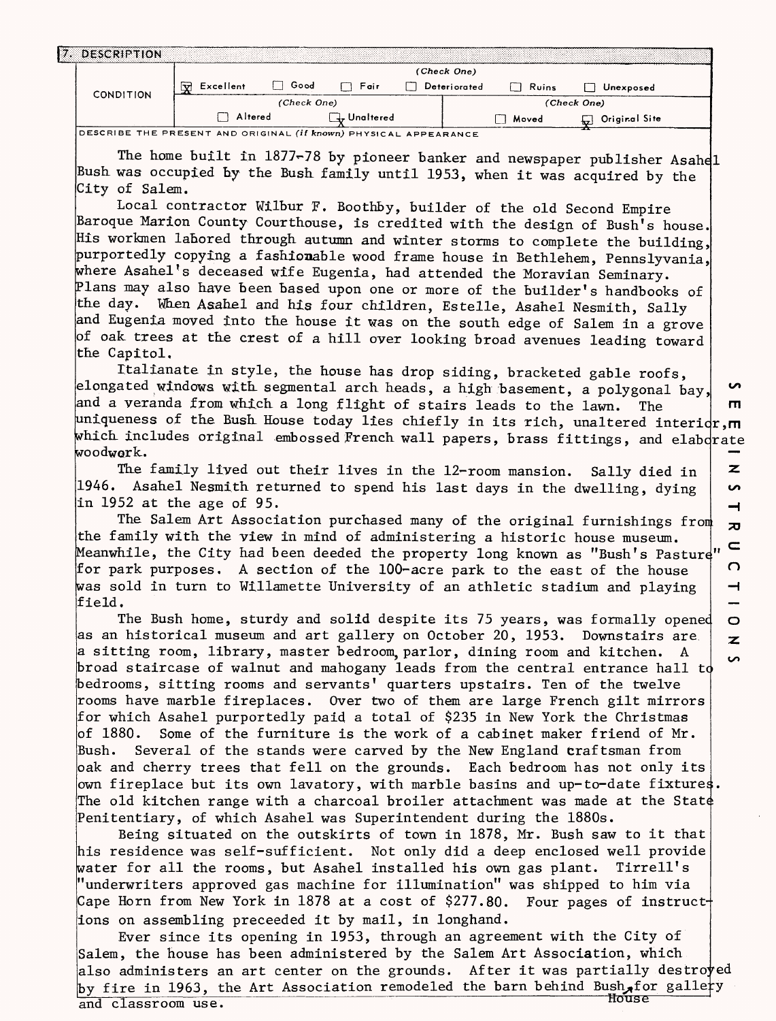| <b>DESCRIPTION</b> |                                              |             |              |              |       |                       |  |  |  |
|--------------------|----------------------------------------------|-------------|--------------|--------------|-------|-----------------------|--|--|--|
|                    | (Check One)                                  |             |              |              |       |                       |  |  |  |
| <b>CONDITION</b>   | $\overline{\mathbf{v}}$<br>Good<br>Excellent |             | Fair         | Deteriorated | Ruins | Unexposed             |  |  |  |
|                    |                                              | (Check One) |              |              |       | (Check One)           |  |  |  |
|                    | Altered                                      |             | 4, Unaltered |              | Moved | Original Site<br>$+x$ |  |  |  |

**DESCRIBE THE PRESENT AND ORIGINAL (if known) PHYSICAL APPEARANCE**

The home built in 1877-78 by pioneer banker and newspaper publisher Asahel Bush was occupied hy the Bush family until 1953, when it was acquired by the City of Salem.

Local contractor Wilbur F. Boothby, builder of the old Second Empire Baroque Marion County Courthouse, is credited with the design of Bush's house. His workmen labored through autumn and winter storms to complete the building, purportedly copying a fashionable wood frame house in Bethlehem, Pennslyvania, where Asahel's deceased wife Eugenia, had attended the Moravian Seminary. Plans may also have been based upon one or more of the builder's handbooks of the day. When Asahel and his four children, Estelle, Asahel Nesmith, Sally and Eugenia moved into the house it was on the south edge of Salem in a grove of oak trees at the crest of a hill over looking broad avenues leading toward the Capitol.

Italianate in style, the house has drop siding, bracketed gable roofs, elongated windows with segmental arch heads, a high basement, a polygonal bay, ഗ and a veranda from which a long flight of stairs leads to the lawn. The  $\mathbf{m}$ uniqueness of the Bush House today lies chiefly in its rich, unaltered interior,  $\blacksquare$ which includes original embossed French wall papers, brass fittings, and elaborate woodwork.  $\overline{z}$ 

The family lived out their lives in the 12-room mansion. Sally died in 1946. Asahel Nesmith returned to spend his last days in the dwelling, dying in 1952 at the age of 95.

The Salem Art Association purchased many of the original furnishings fron the family with the view in mind of administering a historic house museum. Meanwhile, the City had been deeded the property long known as "Bush's Pasture" for park purposes. A section of the 100-acre park to the east of the house was sold in turn to Willamette University of an athletic stadium and playing field.

 $\Omega$ 

 $\overline{\phantom{0}}$ 

 $\circ$  $\overline{\mathbf{z}}$ ς,

S ᅿ  $\overline{a}$  $\subseteq$ 

The Bush home, sturdy and solid despite its 75 years, was formally opened as an historical museum and art gallery on October 20, 1953. Downstairs are a sitting room, library, master bedroom, parlor, dining room and kitchen. A broad staircase of walnut and mahogany leads from the central entrance hall to bedrooms, sitting rooms and servants' quarters upstairs. Ten of the twelve rooms have marble fireplaces. Over two of them are large French gilt mirrors for which Asahel purportedly paid a total of \$235 in New York the Christmas of 1880. Some of the furniture is the work of a cabinet maker friend of  $Mr$ . Bush. Several of the stands were carved by the New England craftsman from oak and cherry trees that fell on the grounds. Each bedroom has not only its own fireplace but its own lavatory, with marble basins and up-to-date fixtures The old kitchen range with a charcoal broiler attachment was made at the State Penitentiary, of which Asahel was Superintendent during the 1880s.

Being situated on the outskirts of town in 1878, Mr. Bush saw to it that his residence was self-sufficient. Not only did a deep enclosed well provide water for all the rooms, but Asahel installed his own gas plant. Tirrell's "underwriters approved gas machine for illumination" was shipped to him via Cape Horn from New York in 1878 at a cost of \$277.80. Four pages of instructions on assembling preceeded it by mail, in longhand.

Ever since its opening in 1953, through an agreement with the City of Salem, the house has been administered by the Salem Art Association, which also administers an art center on the grounds. After it was partially destro $\mathsf{y}\text{ed}$ by fire in 1963, the Art Association remodeled the barn behind Bush for gallery and classroom use.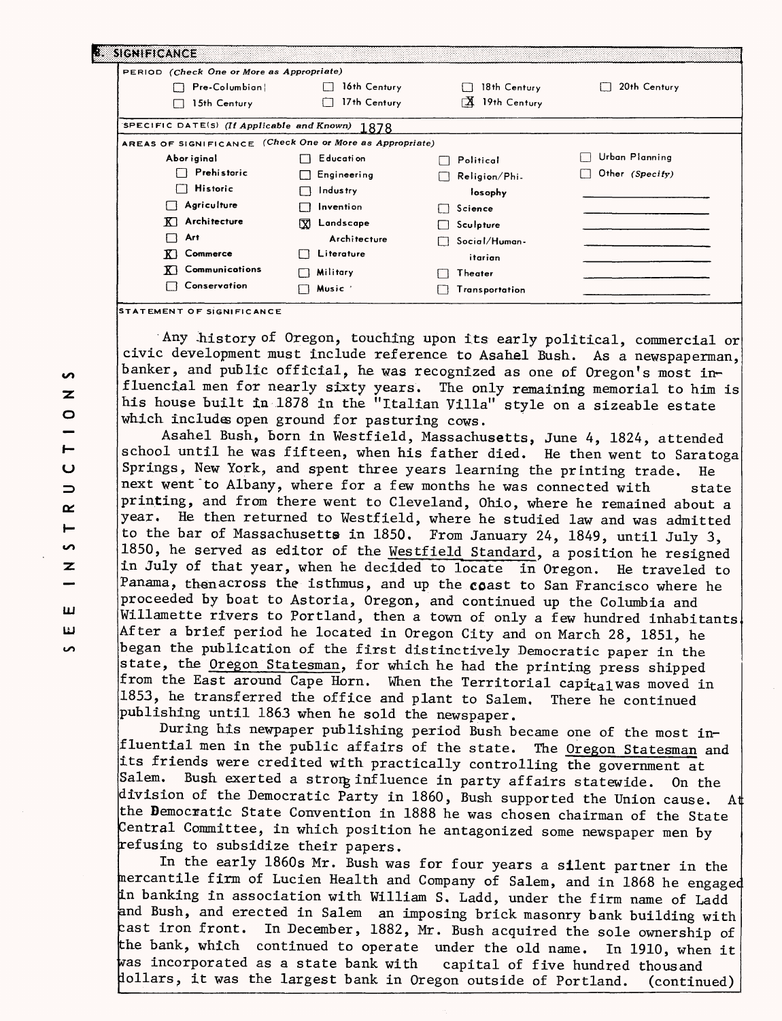| PERIOD (Check One or More as Appropriate)                |                |                    |                 |
|----------------------------------------------------------|----------------|--------------------|-----------------|
| Pre-Columbian                                            | 16th Century   | 18th Century       | 20th Century    |
| 15th Century                                             | 17th Century   | ΓΔ<br>19th Century |                 |
| SPECIFIC DATE(S) (If Applicable and Known)               | 1878           |                    |                 |
| AREAS OF SIGNIFICANCE (Check One or More as Appropriate) |                |                    |                 |
| Abor iginal                                              | E ducati on    | Political          | Urban Planning  |
| Prehistoric                                              | Engineering    | Religion/Phi       | Other (Specify) |
| $\Box$ Historic                                          | Industry       | losophy            |                 |
| Agriculture                                              | Invention      | Science<br>$\Box$  |                 |
| $\overline{K}$ Architecture                              | 网<br>Landscape | Sculpture          |                 |
| Art                                                      | Architecture   | Social/Human-      |                 |
| Commerce                                                 | Literature     | itarian            |                 |
| Communications                                           | Military       | Theater            |                 |
| Conservation                                             | <b>Music</b>   | Transportation     |                 |

Any history of Oregon, touching upon its early political, commercial or civic development must include reference to Asahel Busk. As a newspaperman, banker, and public official, he was recognized as one of Oregon's most influencial men for nearly sixty years. The only remaining memorial to him is his house built in 1878 in the "Italian Villa" style on a sizeable estate which includes open ground for pasturing cows.

Asahel Bush, born in Westfield, Massachusetts, June 4, 1824, attended school until he was fifteen, when his father died. He then went to Saratoga Springs, New York, and spent three years learning the printing trade. He next went'to Albany, where for a few months he was connected with state printing, and from there went to Cleveland, Ohio, where he remained about a year. He then returned to Westfield, where he studied law and was admitted to the bar of Massachusetts in 1850. From January 24, 1849, until July 3, 1850, he served as editor of the Westfield Standard, a position he resigned in July of that year, when he decided to locate in Oregon. He traveled to Panama, then across the isthmus, and up the coast to San Francisco where he proceeded by boat to Astoria, Oregon, and continued up the Columbia and Willamette rivers to Portland, then a town of only a few hundred inhabitants. After a brief period he located in Oregon City and on March 28, 1851, he began the publication of the first distinctively Democratic paper in the state, the Oregon Statesman, for which he had the printing press shipped from the East around Cape Horn. When the Territorial capital was moved in 1853, he transferred the office and plant to Salem. There he continued publishing until 1863 when he sold the newspaper.

During his newpaper publishing period Bush became one of the most influential men in the public affairs of the state. The Oregon Statesman and its friends were credited with practically controlling the government at Salem. Bush exerted a strong influence in party affairs statewide. On the division of the Democratic Party in 1860, Bush supported the Union cause. At the Democratic State Convention in  $1888$  he was chosen chairman of the State Central Committee, in which position he antagonized some newspaper men by refusing to subsidize their papers.

In the early 1860s Mr. Bush was for four years a silent partner in the mercantile firm of Lucien Health and Company of Salem, and in 1868 he engaged in banking in association with William S. Ladd, under the firm name of Ladd and Bush, and erected in Salem an imposing brick masonry bank building with zast iron front. In December, 1882, Mr. Bush acquired the sole ownership of the bank, which continued to operate under the old name. In 1910, when it  $\frac{1}{2}$  incorporated as a state bank with capital of five hundred thousand dollars, it was the largest bank in Oregon outside of Portland. (continued)

**S** z  $\circ$ Н  $\overline{C}$  $\Rightarrow$ œ  $\blacksquare$ ທ  $\overline{z}$ **LJLJ LJ CO**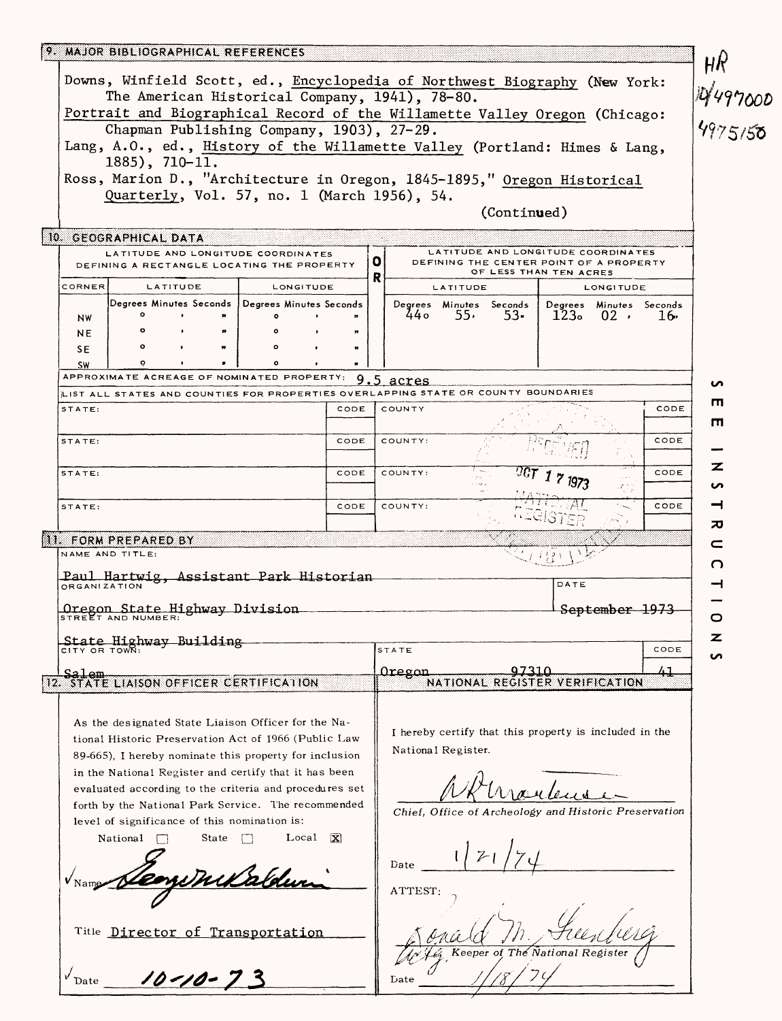|               | 9. MAJOR BIBLIOGRAPHICAL REFERENCES                                                                                                                                                                              |           |                                                        |                    |                                                        |                                |                    |                                 |                  |      |                           |
|---------------|------------------------------------------------------------------------------------------------------------------------------------------------------------------------------------------------------------------|-----------|--------------------------------------------------------|--------------------|--------------------------------------------------------|--------------------------------|--------------------|---------------------------------|------------------|------|---------------------------|
|               | Downs, Winfield Scott, ed., Encyclopedia of Northwest Biography (New York:<br>The American Historical Company, 1941), 78-80.                                                                                     |           |                                                        |                    |                                                        |                                |                    |                                 |                  |      | Ηķ<br>14497000<br>4975150 |
|               | Portrait and Biographical Record of the Willamette Valley Oregon (Chicago:                                                                                                                                       |           |                                                        |                    |                                                        |                                |                    |                                 |                  |      |                           |
|               | Lang, A.O., ed., History of the Willamette Valley (Portland: Himes & Lang,                                                                                                                                       |           | Chapman Publishing Company, 1903), 27-29.              |                    |                                                        |                                |                    |                                 |                  |      |                           |
|               | $1885$ , 710-11.                                                                                                                                                                                                 |           |                                                        |                    |                                                        |                                |                    |                                 |                  |      |                           |
|               | Ross, Marion D., "Architecture in Oregon, 1845-1895," Oregon Historical                                                                                                                                          |           | Quarterly, Vol. 57, no. 1 (March 1956), 54.            |                    |                                                        |                                |                    |                                 |                  |      |                           |
|               |                                                                                                                                                                                                                  |           |                                                        |                    |                                                        |                                | (Continued)        |                                 |                  |      |                           |
|               | 10. GEOGRAPHICAL DATA                                                                                                                                                                                            |           |                                                        |                    |                                                        |                                |                    |                                 |                  |      |                           |
|               | LATITUDE AND LONGITUDE COORDINATES<br>LATITUDE AND LONGITUDE COORDINATES<br>$\mathbf{o}$<br>DEFINING THE CENTER POINT OF A PROPERTY<br>DEFINING A RECTANGLE LOCATING THE PROPERTY<br>OF LESS THAN TEN ACRES<br>R |           |                                                        |                    |                                                        |                                |                    |                                 |                  |      |                           |
| <b>CORNER</b> |                                                                                                                                                                                                                  | LATITUDE  | LONGITUDE                                              |                    |                                                        | <b>LATITUDE</b>                |                    |                                 | <b>LONGITUDE</b> |      |                           |
| NW            | $\circ$                                                                                                                                                                                                          | $\bullet$ | Degrees Minutes Seconds   Degrees Minutes Seconds<br>۰ | $\bullet$          | 44 о                                                   | Degrees Minutes Seconds<br>55. | 53.                | Degrees Minutes Seconds<br>123。 | $02$ .           | 16.  |                           |
| <b>NE</b>     | $\circ$                                                                                                                                                                                                          |           |                                                        | n                  |                                                        |                                |                    |                                 |                  |      |                           |
| SE            | $\circ$                                                                                                                                                                                                          |           | ۰                                                      | m                  |                                                        |                                |                    |                                 |                  |      |                           |
| <b>SW</b>     | ō<br>APPROXIMATE ACREAGE OF NOMINATED PROPERTY:                                                                                                                                                                  |           | ۰                                                      | $\blacksquare$     | $9.5 \text{ acres}$                                    |                                |                    |                                 |                  |      |                           |
|               | LIST ALL STATES AND COUNTIES FOR PROPERTIES OVERLAPPING STATE OR COUNTY BOUNDARIES                                                                                                                               |           |                                                        |                    |                                                        |                                |                    |                                 |                  |      | n                         |
| STATE:        |                                                                                                                                                                                                                  |           |                                                        | CODE               | COUNTY                                                 |                                |                    |                                 |                  | CODE | ш                         |
|               |                                                                                                                                                                                                                  |           |                                                        | CODE               | COUNTY:                                                |                                |                    |                                 |                  | CODE | п                         |
| STATE:        |                                                                                                                                                                                                                  |           |                                                        |                    |                                                        |                                |                    |                                 |                  |      |                           |
| STATE:        |                                                                                                                                                                                                                  |           |                                                        | CODE               | COUNTY:                                                |                                |                    |                                 |                  | CODE | z                         |
|               |                                                                                                                                                                                                                  |           |                                                        |                    |                                                        |                                |                    |                                 |                  |      | S                         |
| STATE:        |                                                                                                                                                                                                                  |           |                                                        | CODE               | COUNTY:                                                |                                |                    |                                 |                  | CODE | ᆋ<br>ᅍ                    |
|               | <b>II. FORM PREPARED BY</b>                                                                                                                                                                                      |           |                                                        |                    |                                                        |                                |                    |                                 |                  |      | c                         |
|               | NAME AND TITLE:                                                                                                                                                                                                  |           |                                                        |                    |                                                        |                                |                    |                                 |                  |      | O                         |
|               | Paul Hartwig, Assistant Park Historian<br><b>ORGANIZATION</b>                                                                                                                                                    |           |                                                        |                    |                                                        |                                |                    | DATE                            |                  |      | ᅿ                         |
|               |                                                                                                                                                                                                                  |           |                                                        |                    |                                                        |                                |                    |                                 |                  |      |                           |
|               | Oregon State Highway Division                                                                                                                                                                                    |           |                                                        |                    |                                                        |                                |                    |                                 | September 1973   |      | O                         |
|               | State Highway Building                                                                                                                                                                                           |           |                                                        |                    | STATE                                                  |                                |                    |                                 |                  | CODE | z                         |
|               | CITY OR TOWN:                                                                                                                                                                                                    |           |                                                        |                    |                                                        |                                |                    |                                 |                  |      | n                         |
| سملھک         | 12. STATE LIAISON OFFICER CERTIFICATION                                                                                                                                                                          |           |                                                        |                    | Oregon                                                 |                                | <u>97310</u>       | NATIONAL REGISTER VERIFICATION  |                  | 41   |                           |
|               |                                                                                                                                                                                                                  |           |                                                        |                    |                                                        |                                |                    |                                 |                  |      |                           |
|               | As the designated State Liaison Officer for the Na-                                                                                                                                                              |           |                                                        |                    |                                                        |                                |                    |                                 |                  |      |                           |
|               | tional Historic Preservation Act of 1966 (Public Law                                                                                                                                                             |           | National Register.                                     |                    | I hereby certify that this property is included in the |                                |                    |                                 |                  |      |                           |
|               | 89-665). I hereby nominate this property for inclusion                                                                                                                                                           |           |                                                        |                    |                                                        |                                |                    |                                 |                  |      |                           |
|               | in the National Register and certify that it has been<br>evaluated according to the criteria and procedures set                                                                                                  |           |                                                        |                    |                                                        |                                |                    |                                 |                  |      |                           |
|               | forth by the National Park Service. The recommended                                                                                                                                                              |           |                                                        |                    |                                                        |                                |                    |                                 |                  |      |                           |
|               | level of significance of this nomination is:                                                                                                                                                                     |           |                                                        |                    | Chief, Office of Archeology and Historic Preservation  |                                |                    |                                 |                  |      |                           |
|               | National                                                                                                                                                                                                         | State     |                                                        | $Local \mathbf{X}$ |                                                        |                                |                    |                                 |                  |      |                           |
|               |                                                                                                                                                                                                                  | Date      |                                                        |                    |                                                        |                                |                    |                                 |                  |      |                           |
|               |                                                                                                                                                                                                                  | ATTEST:   |                                                        |                    |                                                        |                                |                    |                                 |                  |      |                           |
|               |                                                                                                                                                                                                                  |           |                                                        |                    |                                                        |                                |                    |                                 |                  |      |                           |
|               | Title Director of Transportation                                                                                                                                                                                 |           |                                                        |                    |                                                        |                                |                    |                                 |                  |      |                           |
|               |                                                                                                                                                                                                                  |           |                                                        |                    |                                                        |                                | Keeper of The $\,$ |                                 |                  |      |                           |
|               |                                                                                                                                                                                                                  |           |                                                        |                    |                                                        |                                |                    |                                 |                  |      |                           |
|               | $v_{\text{Date}}$ 10-10-73                                                                                                                                                                                       |           |                                                        |                    | Date                                                   |                                |                    |                                 |                  |      |                           |